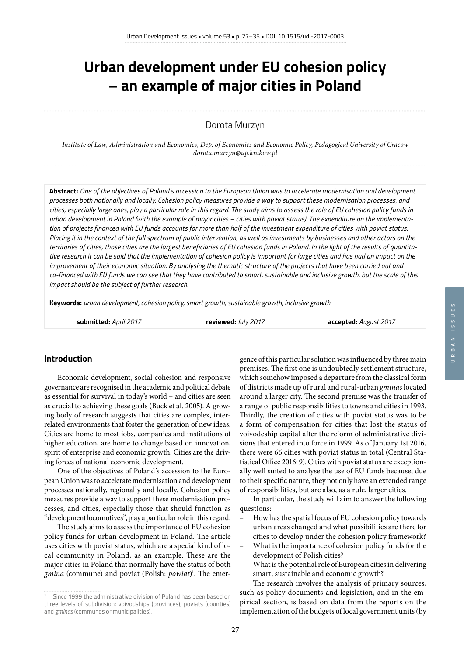# **Urban development under EU cohesion policy – an example of major cities in Poland**

Dorota Murzyn

*Institute of Law, Administration and Economics, Dep. of Economics and Economic Policy, Pedagogical University of Cracow dorota.murzyn@up.krakow.pl*

**Abstract:** *One of the objectives of Poland's accession to the European Union was to accelerate modernisation and development processes both nationally and locally. Cohesion policy measures provide a way to support these modernisation processes, and cities, especially large ones, play a particular role in this regard. The study aims to assess the role of EU cohesion policy funds in urban development in Poland (with the example of major cities – cities with poviat status). The expenditure on the implementation of projects financed with EU funds accounts for more than half of the investment expenditure of cities with poviat status. Placing it in the context of the full spectrum of public intervention, as well as investments by businesses and other actors on the territories of cities, those cities are the largest beneficiaries of EU cohesion funds in Poland. In the light of the results of quantitative research it can be said that the implementation of cohesion policy is important for large cities and has had an impact on the*  improvement of their economic situation. By analysing the thematic structure of the projects that have been carried out and *co-financed with EU funds we can see that they have contributed to smart, sustainable and inclusive growth, but the scale of this impact should be the subject of further research.*

**Keywords:** *urban development, cohesion policy, smart growth, sustainable growth, inclusive growth.*

**submitted:** *April 2017* **reviewed:** *July 2017* **accepted:** *August 2017*

## **Introduction**

Economic development, social cohesion and responsive governance are recognised in the academic and political debate as essential for survival in today's world – and cities are seen as crucial to achieving these goals (Buck et al. 2005). A growing body of research suggests that cities are complex, interrelated environments that foster the generation of new ideas. Cities are home to most jobs, companies and institutions of higher education, are home to change based on innovation, spirit of enterprise and economic growth. Cities are the driving forces of national economic development.

One of the objectives of Poland's accession to the European Union was to accelerate modernisation and development processes nationally, regionally and locally. Cohesion policy measures provide a way to support these modernisation processes, and cities, especially those that should function as "development locomotives", play a particular role in this regard.

The study aims to assess the importance of EU cohesion policy funds for urban development in Poland. The article uses cities with poviat status, which are a special kind of local community in Poland, as an example. These are the major cities in Poland that normally have the status of both *gmina* (commune) and poviat (Polish: *powiat*) 1 . The emergence of this particular solution was influenced by three main premises. The first one is undoubtedly settlement structure, which somehow imposed a departure from the classical form of districts made up of rural and rural-urban *gminas* located around a larger city. The second premise was the transfer of a range of public responsibilities to towns and cities in 1993. Thirdly, the creation of cities with poviat status was to be a form of compensation for cities that lost the status of voivodeship capital after the reform of administrative divisions that entered into force in 1999. As of January 1st 2016, there were 66 cities with poviat status in total (Central Statistical Office 2016: 9). Cities with poviat status are exceptionally well suited to analyse the use of EU funds because, due to their specific nature, they not only have an extended range of responsibilities, but are also, as a rule, larger cities.

In particular, the study will aim to answer the following questions:

- How has the spatial focus of EU cohesion policy towards urban areas changed and what possibilities are there for cities to develop under the cohesion policy framework? – What is the importance of cohesion policy funds for the
- development of Polish cities?
- What is the potential role of European cities in delivering smart, sustainable and economic growth?

The research involves the analysis of primary sources, such as policy documents and legislation, and in the empirical section, is based on data from the reports on the implementation of the budgets of local government units (by

<sup>1</sup> Since 1999 the administrative division of Poland has been based on three levels of subdivision: voivodships (provinces), poviats (counties) and *gminas* (communes or municipalities).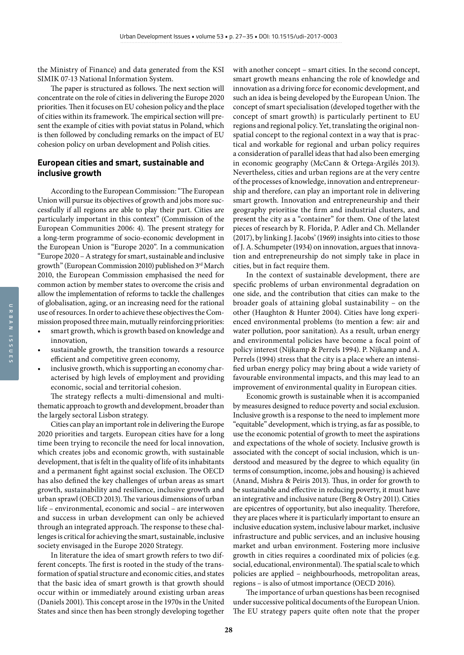the Ministry of Finance) and data generated from the KSI SIMIK 07-13 National Information System.

The paper is structured as follows. The next section will concentrate on the role of cities in delivering the Europe 2020 priorities. Then it focuses on EU cohesion policy and the place of cities within its framework. The empirical section will present the example of cities with poviat status in Poland, which is then followed by concluding remarks on the impact of EU cohesion policy on urban development and Polish cities.

## **European cities and smart, sustainable and inclusive growth**

According to the European Commission: "The European Union will pursue its objectives of growth and jobs more successfully if all regions are able to play their part. Cities are particularly important in this context" (Commission of the European Communities 2006: 4). The present strategy for a long-term programme of socio-economic development in the European Union is "Europe 2020". In a communication "Europe 2020 – A strategy for smart, sustainable and inclusive growth" (European Commission 2010) published on 3rd March 2010, the European Commission emphasised the need for common action by member states to overcome the crisis and allow the implementation of reforms to tackle the challenges of globalisation, aging, or an increasing need for the rational use of resources. In order to achieve these objectives the Commission proposed three main, mutually reinforcing priorities:

- smart growth, which is growth based on knowledge and innovation,
- sustainable growth, the transition towards a resource efficient and competitive green economy,
- inclusive growth, which is supporting an economy characterised by high levels of employment and providing economic, social and territorial cohesion.

The strategy reflects a multi-dimensional and multithematic approach to growth and development, broader than the largely sectoral Lisbon strategy.

Cities can play an important role in delivering the Europe 2020 priorities and targets. European cities have for a long time been trying to reconcile the need for local innovation, which creates jobs and economic growth, with sustainable development, that is felt in the quality of life of its inhabitants and a permanent fight against social exclusion. The OECD has also defined the key challenges of urban areas as smart growth, sustainability and resilience, inclusive growth and urban sprawl (OECD 2013). The various dimensions of urban life – environmental, economic and social – are interwoven and success in urban development can only be achieved through an integrated approach. The response to these challenges is critical for achieving the smart, sustainable, inclusive society envisaged in the Europe 2020 Strategy.

In literature the idea of smart growth refers to two different concepts. The first is rooted in the study of the transformation of spatial structure and economic cities, and states that the basic idea of smart growth is that growth should occur within or immediately around existing urban areas (Daniels 2001). This concept arose in the 1970s in the United States and since then has been strongly developing together with another concept – smart cities. In the second concept, smart growth means enhancing the role of knowledge and innovation as a driving force for economic development, and such an idea is being developed by the European Union. The concept of smart specialisation (developed together with the concept of smart growth) is particularly pertinent to EU regions and regional policy. Yet, translating the original nonspatial concept to the regional context in a way that is practical and workable for regional and urban policy requires a consideration of parallel ideas that had also been emerging in economic geography (McCann & Ortega-Argilés 2013). Nevertheless, cities and urban regions are at the very centre of the processes of knowledge, innovation and entrepreneurship and therefore, can play an important role in delivering smart growth. Innovation and entrepreneurship and their geography prioritise the firm and industrial clusters, and present the city as a "container" for them. One of the latest pieces of research by R. Florida, P. Adler and Ch. Mellander (2017), by linking J. Jacobs' (1969) insights into cities to those of J. A. Schumpeter (1934) on innovation, argues that innovation and entrepreneurship do not simply take in place in cities, but in fact require them.

In the context of sustainable development, there are specific problems of urban environmental degradation on one side, and the contribution that cities can make to the broader goals of attaining global sustainability – on the other (Haughton & Hunter 2004). Cities have long experienced environmental problems (to mention a few: air and water pollution, poor sanitation). As a result, urban energy and environmental policies have become a focal point of policy interest (Nijkamp & Perrels 1994). P. Nijkamp and A. Perrels (1994) stress that the city is a place where an intensified urban energy policy may bring about a wide variety of favourable environmental impacts, and this may lead to an improvement of environmental quality in European cities.

Economic growth is sustainable when it is accompanied by measures designed to reduce poverty and social exclusion. Inclusive growth is a response to the need to implement more "equitable" development, which is trying, as far as possible, to use the economic potential of growth to meet the aspirations and expectations of the whole of society. Inclusive growth is associated with the concept of social inclusion, which is understood and measured by the degree to which equality (in terms of consumption, income, jobs and housing) is achieved (Anand, Mishra & Peiris 2013). Thus, in order for growth to be sustainable and effective in reducing poverty, it must have an integrative and inclusive nature (Berg & Ostry 2011). Cities are epicentres of opportunity, but also inequality. Therefore, they are places where it is particularly important to ensure an inclusive education system, inclusive labour market, inclusive infrastructure and public services, and an inclusive housing market and urban environment. Fostering more inclusive growth in cities requires a coordinated mix of policies (e.g. social, educational, environmental). The spatial scale to which policies are applied – neighbourhoods, metropolitan areas, regions – is also of utmost importance (OECD 2016).

The importance of urban questions has been recognised under successive political documents of the European Union. The EU strategy papers quite often note that the proper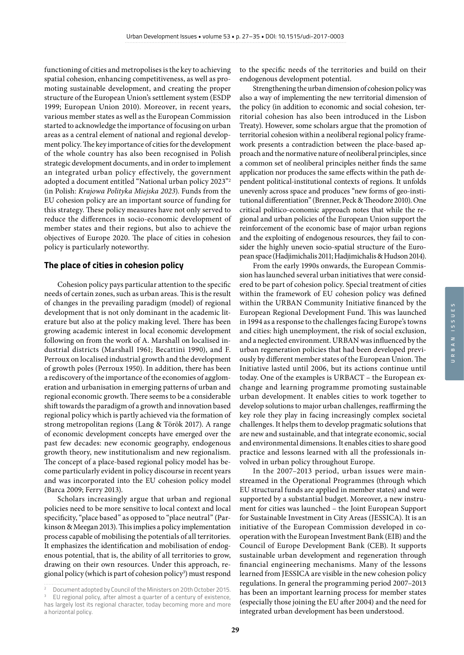functioning of cities and metropolises is the key to achieving spatial cohesion, enhancing competitiveness, as well as promoting sustainable development, and creating the proper structure of the European Union's settlement system (ESDP 1999; European Union 2010). Moreover, in recent years, various member states as well as the European Commission started to acknowledge the importance of focusing on urban areas as a central element of national and regional development policy. The key importance of cities for the development of the whole country has also been recognised in Polish strategic development documents, and in order to implement an integrated urban policy effectively, the government adopted a document entitled "National urban policy 2023"2 (in Polish: *Krajowa Polityka Miejska 2023*). Funds from the EU cohesion policy are an important source of funding for this strategy. These policy measures have not only served to reduce the differences in socio-economic development of member states and their regions, but also to achieve the objectives of Europe 2020. The place of cities in cohesion policy is particularly noteworthy.

#### **The place of cities in cohesion policy**

Cohesion policy pays particular attention to the specific needs of certain zones, such as urban areas. This is the result of changes in the prevailing paradigm (model) of regional development that is not only dominant in the academic literature but also at the policy making level. There has been growing academic interest in local economic development following on from the work of A. Marshall on localised industrial districts (Marshall 1961; Becattini 1990), and F. Perroux on localised industrial growth and the development of growth poles (Perroux 1950). In addition, there has been a rediscovery of the importance of the economies of agglomeration and urbanisation in emerging patterns of urban and regional economic growth. There seems to be a considerable shift towards the paradigm of a growth and innovation based regional policy which is partly achieved via the formation of strong metropolitan regions (Lang & Török 2017). A range of economic development concepts have emerged over the past few decades: new economic geography, endogenous growth theory, new institutionalism and new regionalism. The concept of a place-based regional policy model has become particularly evident in policy discourse in recent years and was incorporated into the EU cohesion policy model (Barca 2009; Ferry 2013).

Scholars increasingly argue that urban and regional policies need to be more sensitive to local context and local specificity, "place based" as opposed to "place neutral" (Parkinson & Meegan 2013). This implies a policy implementation process capable of mobilising the potentials of all territories. It emphasizes the identification and mobilisation of endogenous potential, that is, the ability of all territories to grow, drawing on their own resources. Under this approach, regional policy (which is part of cohesion policy<sup>3</sup>) must respond to the specific needs of the territories and build on their endogenous development potential.

Strengthening the urban dimension of cohesion policy was also a way of implementing the new territorial dimension of the policy (in addition to economic and social cohesion, territorial cohesion has also been introduced in the Lisbon Treaty). However, some scholars argue that the promotion of territorial cohesion within a neoliberal regional policy framework presents a contradiction between the place-based approach and the normative nature of neoliberal principles, since a common set of neoliberal principles neither finds the same application nor produces the same effects within the path dependent political-institutional contexts of regions. It unfolds unevenly across space and produces "new forms of geo-institutional differentiation" (Brenner, Peck & Theodore 2010). One critical politico-economic approach notes that while the regional and urban policies of the European Union support the reinforcement of the economic base of major urban regions and the exploiting of endogenous resources, they fail to consider the highly uneven socio-spatial structure of the European space (Hadjimichalis 2011; Hadjimichalis & Hudson 2014).

From the early 1990s onwards, the European Commission has launched several urban initiatives that were considered to be part of cohesion policy. Special treatment of cities within the framework of EU cohesion policy was defined within the URBAN Community Initiative financed by the European Regional Development Fund. This was launched in 1994 as a response to the challenges facing Europe's towns and cities: high unemployment, the risk of social exclusion, and a neglected environment. URBAN was influenced by the urban regeneration policies that had been developed previously by different member states of the European Union. The Initiative lasted until 2006, but its actions continue until today. One of the examples is URBACT – the European exchange and learning programme promoting sustainable urban development. It enables cities to work together to develop solutions to major urban challenges, reaffirming the key role they play in facing increasingly complex societal challenges. It helps them to develop pragmatic solutions that are new and sustainable, and that integrate economic, social and environmental dimensions. It enables cities to share good practice and lessons learned with all the professionals involved in urban policy throughout Europe.

In the 2007–2013 period, urban issues were mainstreamed in the Operational Programmes (through which EU structural funds are applied in member states) and were supported by a substantial budget. Moreover, a new instrument for cities was launched – the Joint European Support for Sustainable Investment in City Areas (JESSICA). It is an initiative of the European Commission developed in cooperation with the European Investment Bank (EIB) and the Council of Europe Development Bank (CEB). It supports sustainable urban development and regeneration through financial engineering mechanisms. Many of the lessons learned from JESSICA are visible in the new cohesion policy regulations. In general the programming period 2007–2013 has been an important learning process for member states (especially those joining the EU after 2004) and the need for integrated urban development has been understood.

<sup>2</sup> Document adopted by Council of the Ministers on 20th October 2015.

EU regional policy, after almost a quarter of a century of existence, has largely lost its regional character, today becoming more and more a horizontal policy.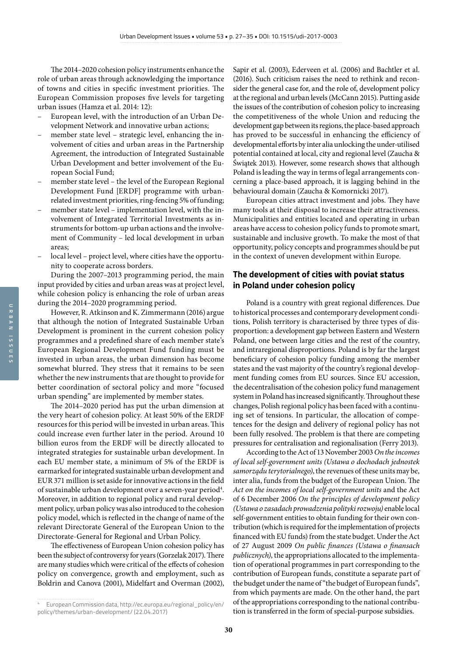The 2014–2020 cohesion policy instruments enhance the role of urban areas through acknowledging the importance of towns and cities in specific investment priorities. The European Commission proposes five levels for targeting urban issues (Hamza et al. 2014: 12):

- European level, with the introduction of an Urban Development Network and innovative urban actions;
- member state level strategic level, enhancing the involvement of cities and urban areas in the Partnership Agreement, the introduction of Integrated Sustainable Urban Development and better involvement of the European Social Fund;
- member state level the level of the European Regional Development Fund [ERDF] programme with urbanrelated investment priorities, ring-fencing 5% of funding;
- member state level implementation level, with the involvement of Integrated Territorial Investments as instruments for bottom-up urban actions and the involvement of Community – led local development in urban areas;
- local level project level, where cities have the opportunity to cooperate across borders.

During the 2007–2013 programming period, the main input provided by cities and urban areas was at project level, while cohesion policy is enhancing the role of urban areas during the 2014–2020 programming period.

However, R. Atkinson and K. Zimmermann (2016) argue that although the notion of Integrated Sustainable Urban Development is prominent in the current cohesion policy programmes and a predefined share of each member state's European Regional Development Fund funding must be invested in urban areas, the urban dimension has become somewhat blurred. They stress that it remains to be seen whether the new instruments that are thought to provide for better coordination of sectoral policy and more "focused urban spending" are implemented by member states.

The 2014–2020 period has put the urban dimension at the very heart of cohesion policy. At least 50% of the ERDF resources for this period will be invested in urban areas. This could increase even further later in the period. Around 10 billion euros from the ERDF will be directly allocated to integrated strategies for sustainable urban development. In each EU member state, a minimum of 5% of the ERDF is earmarked for integrated sustainable urban development and EUR 371 million is set aside for innovative actions in the field of sustainable urban development over a seven-year period<sup>4</sup>. Moreover, in addition to regional policy and rural development policy, urban policy was also introduced to the cohesion policy model, which is reflected in the change of name of the relevant Directorate General of the European Union to the Directorate-General for Regional and Urban Policy.

The effectiveness of European Union cohesion policy has been the subject of controversy for years (Gorzelak 2017). There are many studies which were critical of the effects of cohesion policy on convergence, growth and employment, such as Boldrin and Canova (2001), Midelfart and Overman (2002), Sapir et al. (2003), Ederveen et al. (2006) and Bachtler et al. (2016). Such criticism raises the need to rethink and reconsider the general case for, and the role of, development policy at the regional and urban levels (McCann 2015). Putting aside the issues of the contribution of cohesion policy to increasing the competitiveness of the whole Union and reducing the development gap between its regions, the place-based approach has proved to be successful in enhancing the efficiency of developmental efforts by inter alia unlocking the under-utilised potential contained at local, city and regional level (Zaucha & Świątek 2013). However, some research shows that although Poland is leading the way in terms of legal arrangements concerning a place-based approach, it is lagging behind in the behavioural domain (Zaucha & Komornicki 2017).

European cities attract investment and jobs. They have many tools at their disposal to increase their attractiveness. Municipalities and entities located and operating in urban areas have access to cohesion policy funds to promote smart, sustainable and inclusive growth. To make the most of that opportunity, policy concepts and programmes should be put in the context of uneven development within Europe.

# **The development of cities with poviat status in Poland under cohesion policy**

Poland is a country with great regional differences. Due to historical processes and contemporary development conditions, Polish territory is characterised by three types of disproportion: a development gap between Eastern and Western Poland, one between large cities and the rest of the country, and intraregional disproportions. Poland is by far the largest beneficiary of cohesion policy funding among the member states and the vast majority of the country's regional development funding comes from EU sources. Since EU accession, the decentralisation of the cohesion policy fund management system in Poland has increased significantly. Throughout these changes, Polish regional policy has been faced with a continuing set of tensions. In particular, the allocation of competences for the design and delivery of regional policy has not been fully resolved. The problem is that there are competing pressures for centralisation and regionalisation (Ferry 2013).

According to the Act of 13 November 2003 *On the incomes of local self-government units (Ustawa o dochodach jednostek samorządu terytorialnego)*, the revenues of these units may be, inter alia, funds from the budget of the European Union. The *Act on the incomes of local self-government units* and the Act of 6 December 2006 *On the principles of development policy (Ustawa o zasadach prowadzenia polityki rozwoju)* enable local self-government entities to obtain funding for their own contribution (which is required for the implementation of projects financed with EU funds) from the state budget. Under the Act of 27 August 2009 *On public finances (Ustawa o finansach publicznych)*, the appropriations allocated to the implementation of operational programmes in part corresponding to the contribution of European funds, constitute a separate part of the budget under the name of "the budget of European funds", from which payments are made. On the other hand, the part of the appropriations corresponding to the national contribution is transferred in the form of special-purpose subsidies.

<sup>4</sup> European Commission data, http://ec.europa.eu/regional\_policy/en/ policy/themes/urban-development/ (22.04.2017)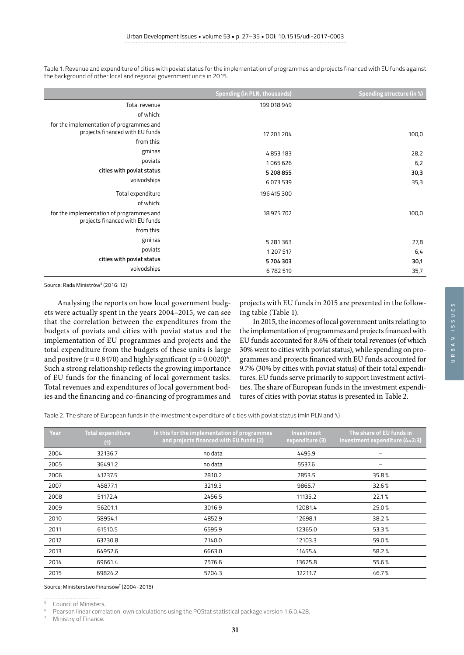|                                                                             | <b>Spending (in PLN, thousands)</b> | Spending structure (in %) |
|-----------------------------------------------------------------------------|-------------------------------------|---------------------------|
| Total revenue                                                               | 199 018 949                         |                           |
| of which:                                                                   |                                     |                           |
| for the implementation of programmes and<br>projects financed with EU funds | 17 201 204                          | 100,0                     |
| from this:                                                                  |                                     |                           |
| gminas                                                                      | 4853183                             | 28,2                      |
| poviats                                                                     | 1065626                             | 6,2                       |
| cities with poviat status                                                   | 5 208 855                           | 30,3                      |
| voivodships                                                                 | 6073539                             | 35,3                      |
| Total expenditure                                                           | 196 415 300                         |                           |
| of which:                                                                   |                                     |                           |
| for the implementation of programmes and<br>projects financed with EU funds | 18 975 702                          | 100,0                     |
| from this:                                                                  |                                     |                           |
| gminas                                                                      | 5 2 8 1 3 6 3                       | 27,8                      |
| poviats                                                                     | 1 207 517                           | 6,4                       |
| cities with poviat status                                                   | 5704303                             | 30,1                      |
| voivodships                                                                 | 6782519                             | 35,7                      |

Table 1. Revenue and expenditure of cities with poviat status for the implementation of programmes and projects financed with EU funds against the background of other local and regional government units in 2015.

Source: Rada Ministrów<sup>5</sup> (2016: 12)

Analysing the reports on how local government budgets were actually spent in the years 2004–2015, we can see that the correlation between the expenditures from the budgets of poviats and cities with poviat status and the implementation of EU programmes and projects and the total expenditure from the budgets of these units is large and positive ( $r = 0.8470$ ) and highly significant ( $p = 0.0020$ )<sup>6</sup>. Such a strong relationship reflects the growing importance of EU funds for the financing of local government tasks. Total revenues and expenditures of local government bodies and the financing and co-financing of programmes and

projects with EU funds in 2015 are presented in the following table (Table 1).

In 2015, the incomes of local government units relating to the implementation of programmes and projects financed with EU funds accounted for 8.6% of their total revenues (of which 30% went to cities with poviat status), while spending on programmes and projects financed with EU funds accounted for 9.7% (30% by cities with poviat status) of their total expenditures. EU funds serve primarily to support investment activities. The share of European funds in the investment expenditures of cities with poviat status is presented in Table 2.

Table 2. The share of European funds in the investment expenditure of cities with poviat status (mln PLN and %)

| Year | <b>Total expenditure</b><br>(1) | In this for the implementation of programmes<br>and projects financed with EU funds (2) | Investment<br>expenditure (3) | The share of EU funds in<br>investment expenditure (4=2:3) |
|------|---------------------------------|-----------------------------------------------------------------------------------------|-------------------------------|------------------------------------------------------------|
| 2004 | 32136.7                         | no data                                                                                 | 4495.9                        |                                                            |
| 2005 | 36491.2                         | no data                                                                                 | 5537.6                        | -                                                          |
| 2006 | 41237.5                         | 2810.2                                                                                  | 7853.5                        | 35.8%                                                      |
| 2007 | 45877.1                         | 3219.3                                                                                  | 9865.7                        | 32.6%                                                      |
| 2008 | 51172.4                         | 2456.5                                                                                  | 11135.2                       | 22.1%                                                      |
| 2009 | 56201.1                         | 3016.9                                                                                  | 12081.4                       | 25.0%                                                      |
| 2010 | 58954.1                         | 4852.9                                                                                  | 12698.1                       | 38.2%                                                      |
| 2011 | 61510.5                         | 6595.9                                                                                  | 12365.0                       | 53.3%                                                      |
| 2012 | 63730.8                         | 7140.0                                                                                  | 12103.3                       | 59.0%                                                      |
| 2013 | 64952.6                         | 6663.0                                                                                  | 11455.4                       | 58.2%                                                      |
| 2014 | 69661.4                         | 7576.6                                                                                  | 13625.8                       | 55.6%                                                      |
| 2015 | 69824.2                         | 5704.3                                                                                  | 12211.7                       | 46.7%                                                      |
|      |                                 |                                                                                         |                               |                                                            |

Source: Ministerstwo Finansów<sup>7</sup> (2004–2015)

<sup>5</sup> Council of Ministers.

<sup>6</sup> Pearson linear correlation, own calculations using the PQStat statistical package version 1.6.0.428.

Ministry of Finance.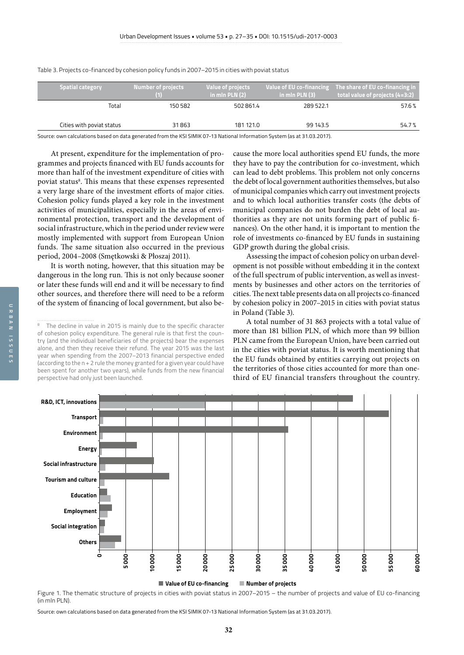| <b>Spatial category</b>   | <b>Number of projects</b><br>(1) | <b>Value of projects</b><br>$\ln$ mln PLN (2) | Value of EU co-financing<br>$\ln$ nmln PLN (3) | The share of EU co-financing in ,<br>total value of projects (4=3:2) |
|---------------------------|----------------------------------|-----------------------------------------------|------------------------------------------------|----------------------------------------------------------------------|
| Total                     | 150 582                          | 502 861.4                                     | 289 522.1                                      | 57.6%                                                                |
| Cities with poviat status | 31863                            | 181 121.0                                     | 99 143.5                                       | 54.7 %                                                               |

Table 3. Projects co-financed by cohesion policy funds in 2007–2015 in cities with poviat status

Source: own calculations based on data generated from the KSI SIMIK 07-13 National Information System (as at 31.03.2017).

At present, expenditure for the implementation of programmes and projects financed with EU funds accounts for more than half of the investment expenditure of cities with poviat status<sup>8</sup>. This means that these expenses represented a very large share of the investment efforts of major cities. Cohesion policy funds played a key role in the investment activities of municipalities, especially in the areas of environmental protection, transport and the development of social infrastructure, which in the period under review were mostly implemented with support from European Union funds. The same situation also occurred in the previous period, 2004–2008 (Smętkowski & Płoszaj 2011).

It is worth noting, however, that this situation may be dangerous in the long run. This is not only because sooner or later these funds will end and it will be necessary to find other sources, and therefore there will need to be a reform of the system of financing of local government, but also because the more local authorities spend EU funds, the more they have to pay the contribution for co-investment, which can lead to debt problems. This problem not only concerns the debt of local government authorities themselves, but also of municipal companies which carry out investment projects and to which local authorities transfer costs (the debts of municipal companies do not burden the debt of local authorities as they are not units forming part of public finances). On the other hand, it is important to mention the role of investments co-financed by EU funds in sustaining GDP growth during the global crisis.

Assessing the impact of cohesion policy on urban development is not possible without embedding it in the context of the full spectrum of public intervention, as well as investments by businesses and other actors on the territories of cities. The next table presents data on all projects co-financed by cohesion policy in 2007–2015 in cities with poviat status in Poland (Table 3).

A total number of 31 863 projects with a total value of more than 181 billion PLN, of which more than 99 billion PLN came from the European Union, have been carried out in the cities with poviat status. It is worth mentioning that the EU funds obtained by entities carrying out projects on the territories of those cities accounted for more than onethird of EU financial transfers throughout the country.



Figure 1. The thematic structure of projects in cities with poviat status in 2007–2015 – the number of projects and value of EU co-financing (in mln PLN).

Source: own calculations based on data generated from the KSI SIMIK 07-13 National Information System (as at 31.03.2017).

<sup>&</sup>lt;sup>8</sup> The decline in value in 2015 is mainly due to the specific character of cohesion policy expenditure. The general rule is that first the country (and the individual beneficiaries of the projects) bear the expenses alone, and then they receive their refund. The year 2015 was the last year when spending from the 2007–2013 financial perspective ended (according to the n + 2 rule the money granted for a given year could have been spent for another two years), while funds from the new financial perspective had only just been launched.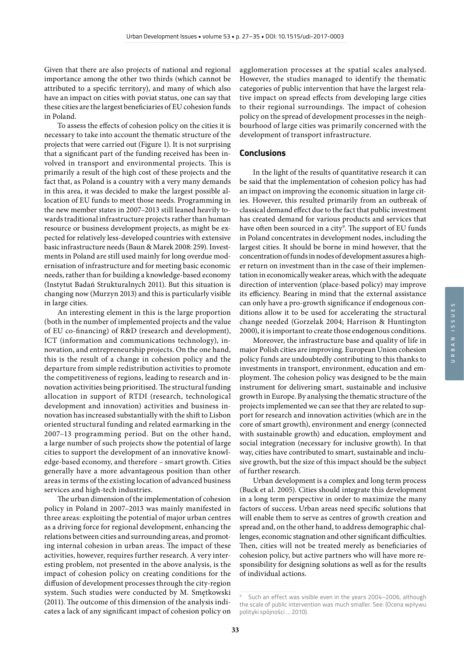Given that there are also projects of national and regional importance among the other two thirds (which cannot be attributed to a specific territory), and many of which also have an impact on cities with poviat status, one can say that these cities are the largest beneficiaries of EU cohesion funds in Poland.

To assess the effects of cohesion policy on the cities it is necessary to take into account the thematic structure of the projects that were carried out (Figure 1). It is not surprising that a significant part of the funding received has been involved in transport and environmental projects. This is primarily a result of the high cost of these projects and the fact that, as Poland is a country with a very many demands in this area, it was decided to make the largest possible allocation of EU funds to meet those needs. Programming in the new member states in 2007–2013 still leaned heavily towards traditional infrastructure projects rather than human resource or business development projects, as might be expected for relatively less-developed countries with extensive basic infrastructure needs (Baun & Marek 2008: 259). Investments in Poland are still used mainly for long overdue modernisation of infrastructure and for meeting basic economic needs, rather than for building a knowledge-based economy (Instytut Badań Strukturalnych 2011). But this situation is changing now (Murzyn 2013) and this is particularly visible in large cities.

An interesting element in this is the large proportion (both in the number of implemented projects and the value of EU co-financing) of R&D (research and development), ICT (information and communications technology), innovation, and entrepreneurship projects. On the one hand, this is the result of a change in cohesion policy and the departure from simple redistribution activities to promote the competitiveness of regions, leading to research and innovation activities being prioritised. The structural funding allocation in support of RTDI (research, technological development and innovation) activities and business innovation has increased substantially with the shift to Lisbon oriented structural funding and related earmarking in the 2007–13 programming period. But on the other hand, a large number of such projects show the potential of large cities to support the development of an innovative knowledge-based economy, and therefore – smart growth. Cities generally have a more advantageous position than other areas in terms of the existing location of advanced business services and high-tech industries.

The urban dimension of the implementation of cohesion policy in Poland in 2007–2013 was mainly manifested in three areas: exploiting the potential of major urban centres as a driving force for regional development, enhancing the relations between cities and surrounding areas, and promoting internal cohesion in urban areas. The impact of these activities, however, requires further research. A very interesting problem, not presented in the above analysis, is the impact of cohesion policy on creating conditions for the diffusion of development processes through the city-region system. Such studies were conducted by M. Smętkowski (2011). The outcome of this dimension of the analysis indicates a lack of any significant impact of cohesion policy on agglomeration processes at the spatial scales analysed. However, the studies managed to identify the thematic categories of public intervention that have the largest relative impact on spread effects from developing large cities to their regional surroundings. The impact of cohesion policy on the spread of development processes in the neighbourhood of large cities was primarily concerned with the development of transport infrastructure.

#### **Conclusions**

In the light of the results of quantitative research it can be said that the implementation of cohesion policy has had an impact on improving the economic situation in large cities. However, this resulted primarily from an outbreak of classical demand effect due to the fact that public investment has created demand for various products and services that have often been sourced in a city<sup>9</sup>. The support of EU funds in Poland concentrates in development nodes, including the largest cities. It should be borne in mind however, that the concentration of funds in nodes of development assures a higher return on investment than in the case of their implementation in economically weaker areas, which with the adequate direction of intervention (place-based policy) may improve its efficiency. Bearing in mind that the external assistance can only have a pro-growth significance if endogenous conditions allow it to be used for accelerating the structural change needed (Gorzelak 2004; Harrison & Huntington 2000), it is important to create those endogenous conditions.

Moreover, the infrastructure base and quality of life in major Polish cities are improving. European Union cohesion policy funds are undoubtedly contributing to this thanks to investments in transport, environment, education and employment. The cohesion policy was designed to be the main instrument for delivering smart, sustainable and inclusive growth in Europe. By analysing the thematic structure of the projects implemented we can see that they are related to support for research and innovation activities (which are in the core of smart growth), environment and energy (connected with sustainable growth) and education, employment and social integration (necessary for inclusive growth). In that way, cities have contributed to smart, sustainable and inclusive growth, but the size of this impact should be the subject of further research.

Urban development is a complex and long term process (Buck et al. 2005). Cities should integrate this development in a long term perspective in order to maximize the many factors of success. Urban areas need specific solutions that will enable them to serve as centres of growth creation and spread and, on the other hand, to address demographic challenges, economic stagnation and other significant difficulties. Then, cities will not be treated merely as beneficiaries of cohesion policy, but active partners who will have more responsibility for designing solutions as well as for the results of individual actions.

Such an effect was visible even in the years 2004–2006, although the scale of public intervention was much smaller. See: (Ocena wpływu polityki spójności … 2010).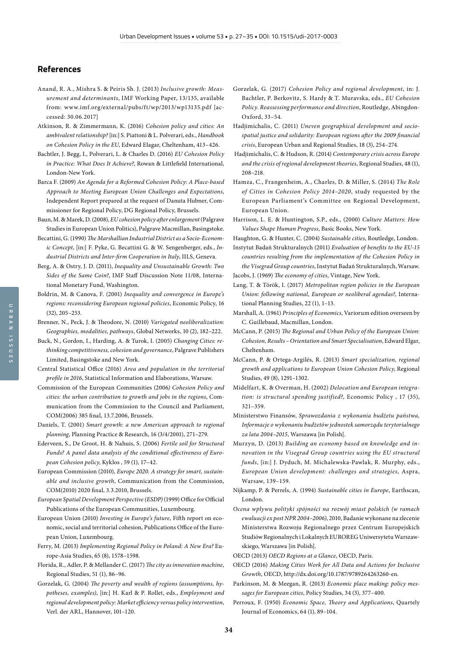## **References**

- Anand, R. A., Mishra S. & Peiris Sh. J. (2013) *Inclusive growth: Measurement and determinants*, IMF Working Paper, 13/135, available from: www.imf.org/external/pubs/ft/wp/2013/wp13135.pdf [accessed: 30.06.2017]
- Atkinson, R. & Zimmermann, K. (2016) *Cohesion policy and cities: An ambivalent relationship?* [in:] S. Piattoni & L. Polverari, eds., *Handbook on Cohesion Policy in the EU*, Edward Elagar, Cheltenham, 413–426.
- Bachtler, J. Begg, I., Polverari, L. & Charles D. (2016) *EU Cohesion Policy in Practice: What Does It Achieve?*, Rowan & Littlefield International, London-New York.
- Barca F. (2009) *An Agenda for a Reformed Cohesion Policy: A Place-based Approach to Meeting European Union Challenges and Expectations*, Independent Report prepared at the request of Danuta Hubner, Commissioner for Regional Policy, DG Regional Policy, Brussels.
- Baun, M. & Marek, D. (2008), *EU cohesion policy after enlargement* (Palgrave Studies in European Union Politics), Palgrave Macmillan, Basingstoke.
- Becattini, G. (1990) *The Marshallian Industrial District as a Socio-Economic Concept*, [in:] F. Pyke, G. Becattini G. & W. Sengenberger, eds., *Industrial Districts and Inter-firm Cooperation in Italy*, IILS, Geneva.
- Berg, A. & Ostry, J. D. (2011), *Inequality and Unsustainable Growth: Two Sides of the Same Coin?*, IMF Staff Discussion Note 11/08, International Monetary Fund, Washington.
- Boldrin, M. & Canova, F. (2001) *Inequality and convergence in Europe's regions: reconsidering European regional policies*, Economic Policy, 16 (32), 205–253.
- Brenner, N., Peck, J. & Theodore, N. (2010) *Variegated neoliberalization: Geographies, modalities, pathways*, Global Networks, 10 (2), 182–222.
- Buck, N., Gordon, I., Harding, A. & Turok, I. (2005) *Changing Cities: rethinking competitiveness, cohesion and governance*, Palgrave Publishers Limited, Basingstoke and New York.
- Central Statistical Office (2016) *Area and population in the territorial profile in 2016*, Statistical Information and Elaborations, Warsaw.
- Commission of the European Communities (2006*) Cohesion Policy and cities: the urban contribution to growth and jobs in the regions*, Communication from the Commission to the Council and Parliament, COM(2006) 385 final, 13.7.2006, Brussels.
- Daniels, T. (2001) *Smart growth: a new American approach to regional planning*, Planning Practice & Research, 16 (3/4/2001), 271–279.
- Ederveen, S., De Groot, H. & Nahuis, S. (2006) *Fertile soil for Structural Funds? A panel data analysis of the conditional effectiveness of European Cohesion policy*, Kyklos , 59 (1), 17–42.
- European Commission (2010), *Europe 2020. A strategy for smart, sustainable and inclusive growth*, Communication from the Commission, COM(2010) 2020 final, 3.3.2010, Brussels.
- *European Spatial Development Perspective (ESDP)* (1999) Office for Official Publications of the European Communities, Luxembourg.
- European Union (2010) *Investing in Europe's future*, Fifth report on economic, social and territorial cohesion, Publications Office of the European Union, Luxembourg.
- Ferry, M. (2013) *Implementing Regional Policy in Poland: A New Era?* Europe-Asia Studies, 65 (8), 1578–1598.
- Florida, R., Adler, P. & Mellander C. (2017) *The city as innovation machine*, Regional Studies, 51 (1), 86–96.
- Gorzelak, G. (2004) *The poverty and wealth of regions (assumptions, hypotheses, examples)*, [in:] H. Karl & P. Rollet, eds., *Employment and regional development policy: Market efficiency versus policy intervention*, Verl. der ARL, Hannover, 101–120.
- Gorzelak, G. (2017) *Cohesion Policy and regional development*, in: J. Bachtler, P. Berkovitz, S. Hardy & T. Muravska, eds., *EU Cohesion Policy. Reassessing performance and direction*, Routledge, Abingdon-Oxford, 33–54.
- Hadjimichalis, C. (2011) *Uneven geographical development and sociospatial justice and solidarity: European regions after the 2009 financial crisis*, European Urban and Regional Studies, 18 (3), 254–274.
- Hadjimichalis, C. & Hudson, R. (2014) *Contemporary crisis across Europe and the crisis of regional development theories*, Regional Studies, 48 (1), 208–218.
- Hamza, C., Frangenheim, A., Charles, D. & Miller, S. (2014) *The Role of Cities in Cohesion Policy 2014–2020*, study requested by the European Parliament's Committee on Regional Development, European Union.
- Harrison, L. E. & Huntington, S.P., eds., (2000) *Culture Matters: How Values Shape Human Progress*, Basic Books, New York.
- Haughton, G. & Hunter, C. (2004) *Sustainable cities*, Routledge, London.
- Instytut Badań Strukturalnych (2011) *Evaluation of benefits to the EU-15 countries resulting from the implementation of the Cohesion Policy in the Visegrad Group countries*, Instytut Badań Strukturalnych, Warsaw. Jacobs, J. (1969) *The economy of cities*, Vintage, New York.
- Lang, T. & Török, I. (2017) *Metropolitan region policies in the European Union: following national, European or neoliberal agendas?*, Interna-
- tional Planning Studies, 22 (1), 1–13. Marshall, A. (1961) *Principles of Economics*, Variorum edition overseen by
- C. Guillebaud, Macmillan, London.
- McCann, P. (2015) *The Regional and Urban Policy of the European Union: Cohesion, Results – Orientation and Smart Specialisation*, Edward Elgar, Cheltenham.
- McCann, P. & Ortega-Argilés, R. (2013) *Smart specialization, regional growth and applications to European Union Cohesion Policy*, Regional Studies, 49 (8), 1291–1302.
- Midelfart, K. & Overman, H. (2002) *Delocation and European integration: is structural spending justified?*, Economic Policy , 17 (35), 321–359.
- Ministerstwo Finansów, *Sprawozdania z wykonania budżetu państwa, Informacje o wykonaniu budżetów jednostek samorządu terytorialnego za lata 2004–2015*, Warszawa [in Polish].
- Murzyn, D. (2013) *Building an economy based on knowledge and innovation in the Visegrad Group countries using the EU structural funds*, [in:] J. Dyduch, M. Michalewska-Pawlak, R. Murphy, eds., *European Union development: challenges and strategies*, Aspra, Warsaw, 139–159.
- Nijkamp, P. & Perrels, A. (1994) *Sustainable cities in Europe*, Earthscan, London.
- *Ocena wpływu polityki spójności na rozwój miast polskich (w ramach ewaluacji ex post NPR 2004–2006)*, 2010, Badanie wykonane na zlecenie Ministerstwa Rozwoju Regionalnego przez Centrum Europejskich Studiów Regionalnych i Lokalnych EUROREG Uniwersytetu Warszawskiego, Warszawa [in Polish].
- OECD (2013) *OECD Regions at a Glance*, OECD, Paris.
- OECD (2016) *Making Cities Work for All Data and Actions for Inclusive Growth*, OECD, http://dx.doi.org/10.1787/9789264263260-en.
- Parkinson, M. & Meegan, R. (2013) *Economic place making: policy messages for European cities*, Policy Studies, 34 (3), 377–400.
- Perroux, F. (1950) *Economic Space, Theory and Applications*, Quartely Journal of Economics, 64 (1), 89–104.